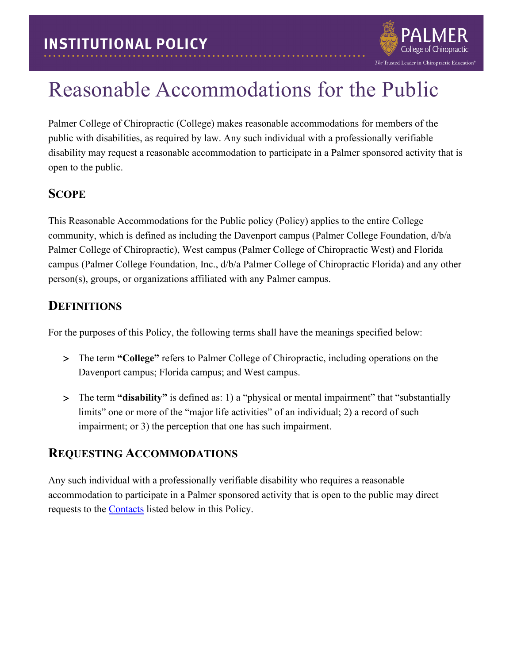## Reasonable Accommodations for the Public

Palmer College of Chiropractic (College) makes reasonable accommodations for members of the public with disabilities, as required by law. Any such individual with a professionally verifiable disability may request a reasonable accommodation to participate in a Palmer sponsored activity that is open to the public.

The Trusted Leader in Chiropractic Education®

#### **SCOPE**

This Reasonable Accommodations for the Public policy (Policy) applies to the entire College community, which is defined as including the Davenport campus (Palmer College Foundation, d/b/a Palmer College of Chiropractic), West campus (Palmer College of Chiropractic West) and Florida campus (Palmer College Foundation, Inc., d/b/a Palmer College of Chiropractic Florida) and any other person(s), groups, or organizations affiliated with any Palmer campus.

#### **DEFINITIONS**

For the purposes of this Policy, the following terms shall have the meanings specified below:

- > The term **"College"** refers to Palmer College of Chiropractic, including operations on the Davenport campus; Florida campus; and West campus.
- > The term **"disability"** is defined as: 1) a "physical or mental impairment" that "substantially limits" one or more of the "major life activities" of an individual; 2) a record of such impairment; or 3) the perception that one has such impairment.

#### **REQUESTING ACCOMMODATIONS**

Any such individual with a professionally verifiable disability who requires a reasonable accommodation to participate in a Palmer sponsored activity that is open to the public may direct requests to the [Contacts](#page-1-0) listed below in this Policy.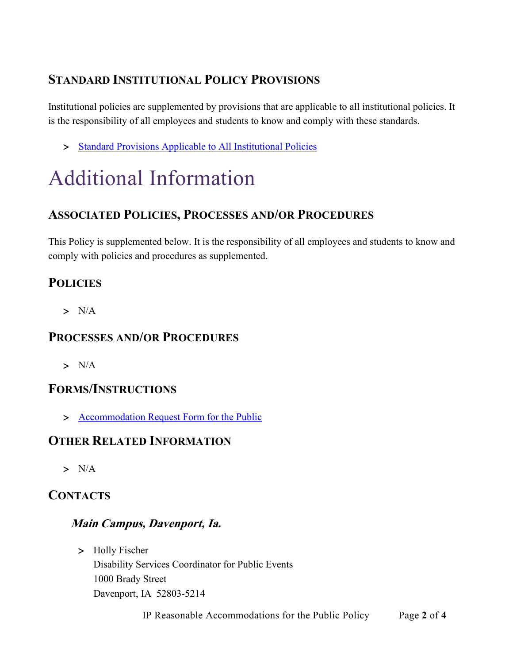### **STANDARD INSTITUTIONAL POLICY PROVISIONS**

Institutional policies are supplemented by provisions that are applicable to all institutional policies. It is the responsibility of all employees and students to know and comply with these standards.

> [Standard Provisions Applicable to All Institutional Policies](http://www.palmer.edu/uploadedFiles/Pages/Students/Resources_and_Offices/Handbook_and_Policies/_pdf/Standard-Provisions-Applicable-to-All-Institutional-Policies.pdf)

# Additional Information

#### **ASSOCIATED POLICIES, PROCESSES AND/OR PROCEDURES**

This Policy is supplemented below. It is the responsibility of all employees and students to know and comply with policies and procedures as supplemented.

#### **POLICIES**

 $> N/A$ 

#### **PROCESSES AND/OR PROCEDURES**

 $> N/A$ 

#### **FORMS/INSTRUCTIONS**

> [Accommodation Request Form for the Public](https://cm.maxient.com/reportingform.php?PalmerCollege&layout_id=6)

#### **OTHER RELATED INFORMATION**

> N/A

#### <span id="page-1-0"></span>**CONTACTS**

#### **Main Campus, Davenport, Ia.**

> Holly Fischer Disability Services Coordinator for Public Events 1000 Brady Street Davenport, IA 52803-5214

IP Reasonable Accommodations for the Public Policy Page **2** of **4**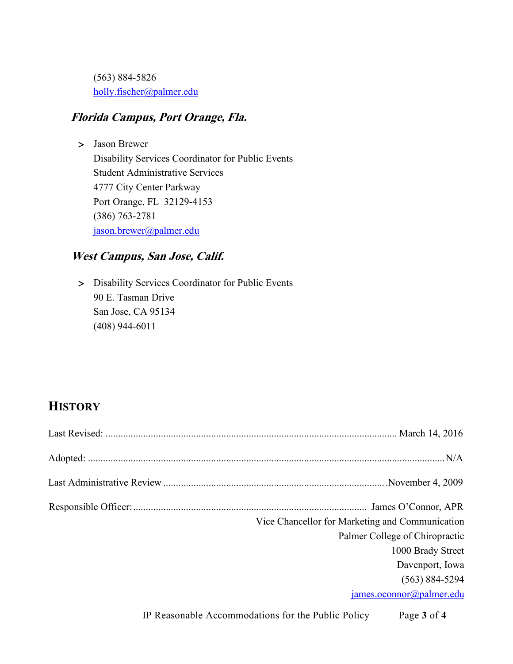(563) 884-5826 [holly.fischer@palmer.edu](mailto:holly.fischer@palmer.edu) 

#### **Florida Campus, Port Orange, Fla.**

> Jason Brewer Disability Services Coordinator for Public Events Student Administrative Services 4777 City Center Parkway Port Orange, FL 32129-4153 (386) 763-2781 [jason.brewer@palmer.edu](mailto:jason.brewer@palmer.edu) 

#### **West Campus, San Jose, Calif.**

> Disability Services Coordinator for Public Events 90 E. Tasman Drive San Jose, CA 95134 (408) 944-6011

#### **HISTORY**

| Vice Chancellor for Marketing and Communication |
|-------------------------------------------------|
| Palmer College of Chiropractic                  |
| 1000 Brady Street                               |
| Davenport, Iowa                                 |
| $(563) 884 - 5294$                              |
| james.oconnor@palmer.edu                        |

IP Reasonable Accommodations for the Public Policy Page **3** of **4**